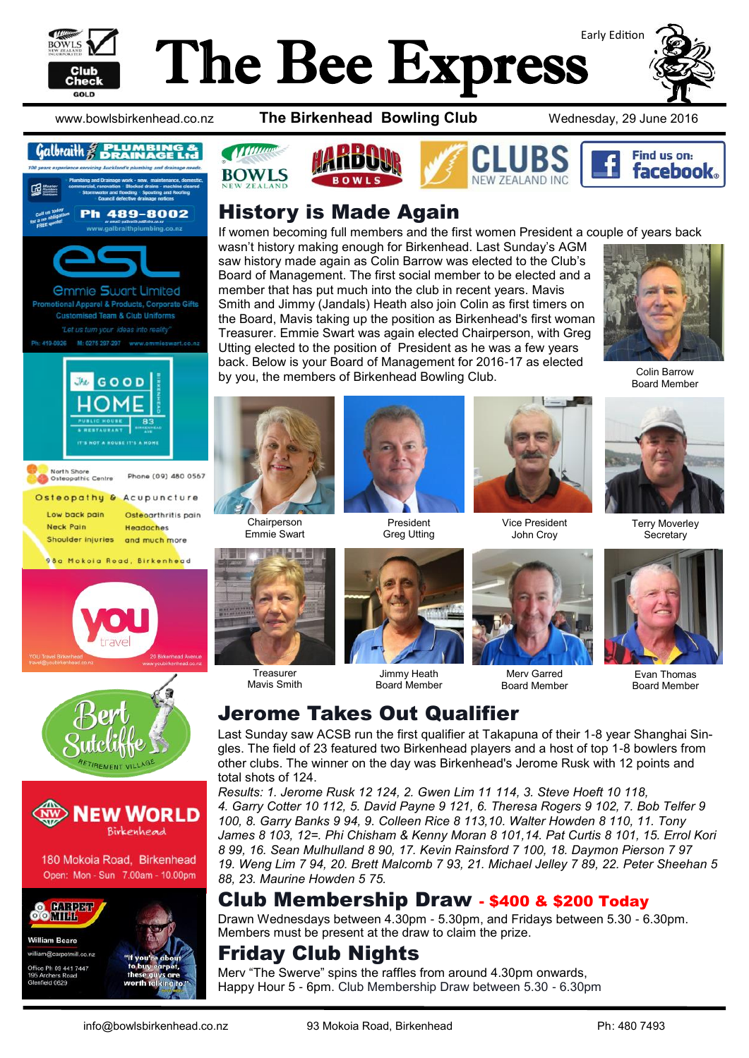

# The Bee Express



www.bowlsbirkenhead.co.nz **The Birkenhead Bowling Club** Wednesday, 29 June 2016



### Galbraith  $\mathcal{E}$   $\mathbb{R}$   $\mathbb{R}$   $\mathbb{R}$   $\mathbb{R}$   $\mathbb{R}$











180 Mokoia Road, Birkenhead Open: Mon - Sun 7.00am - 10.00pm



**William Beare** william@carpetmill.co.nz ce Ph 09 441 7447 ield 0629









#### History is Made Again

If women becoming full members and the first women President a couple of years back wasn't history making enough for Birkenhead. Last Sunday's AGM saw history made again as Colin Barrow was elected to the Club's Board of Management. The first social member to be elected and a member that has put much into the club in recent years. Mavis Smith and Jimmy (Jandals) Heath also join Colin as first timers on the Board, Mavis taking up the position as Birkenhead's first woman Treasurer. Emmie Swart was again elected Chairperson, with Greg Utting elected to the position of President as he was a few years back. Below is your Board of Management for 2016-17 as elected by you, the members of Birkenhead Bowling Club.



Colin Barrow Board Member



**BOWLS** 

Chairperson Emmie Swart



President Greg Utting



Vice President John Croy



Terry Moverley **Secretary** 



Treasurer Mavis Smith



Jimmy Heath Board Member



Merv Garred Board Member



Evan Thomas Board Member

#### Jerome Takes Out Qualifier

Last Sunday saw ACSB run the first qualifier at Takapuna of their 1-8 year Shanghai Singles. The field of 23 featured two Birkenhead players and a host of top 1-8 bowlers from other clubs. The winner on the day was Birkenhead's Jerome Rusk with 12 points and total shots of 124.

*Results: 1. Jerome Rusk 12 124, 2. Gwen Lim 11 114, 3. Steve Hoeft 10 118, 4. Garry Cotter 10 112, 5. David Payne 9 121, 6. Theresa Rogers 9 102, 7. Bob Telfer 9 100, 8. Garry Banks 9 94, 9. Colleen Rice 8 113,10. Walter Howden 8 110, 11. Tony James 8 103, 12=. Phi Chisham & Kenny Moran 8 101,14. Pat Curtis 8 101, 15. Errol Kori 8 99, 16. Sean Mulhulland 8 90, 17. Kevin Rainsford 7 100, 18. Daymon Pierson 7 97 19. Weng Lim 7 94, 20. Brett Malcomb 7 93, 21. Michael Jelley 7 89, 22. Peter Sheehan 5 88, 23. Maurine Howden 5 75.*

#### Club Membership Draw - \$400 & \$200 Today

Drawn Wednesdays between 4.30pm - 5.30pm, and Fridays between 5.30 - 6.30pm. Members must be present at the draw to claim the prize.

#### Friday Club Nights

Merv "The Swerve" spins the raffles from around 4.30pm onwards, Happy Hour 5 - 6pm. Club Membership Draw between 5.30 - 6.30pm